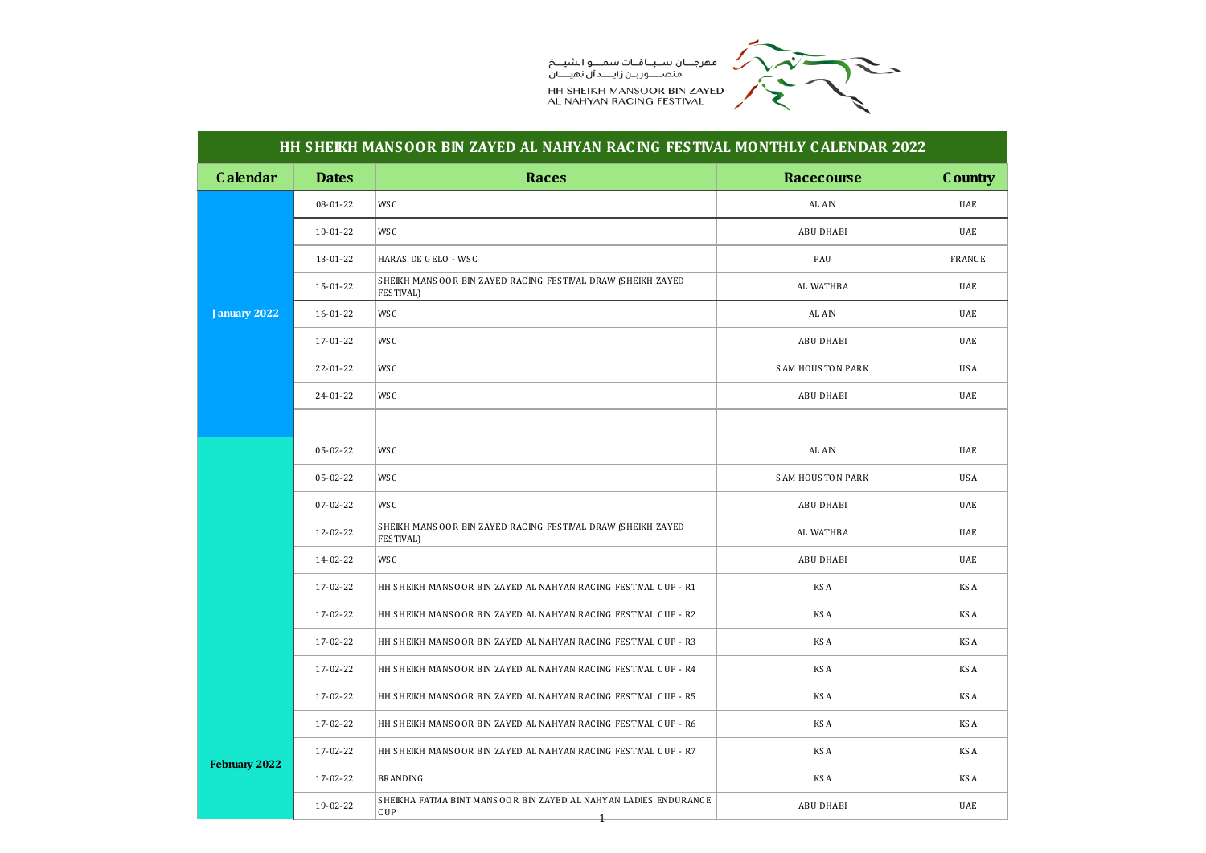

## **HH S HEIKH MANS OOR BIN ZAYED AL NAHYAN RAC ING FES TIVAL MONTHLY C ALENDAR 2022**

| <b>Calendar</b> | <b>Dates</b> | <b>Races</b>                                                                       | <b>Racecourse</b>       | <b>C</b> ountry |
|-----------------|--------------|------------------------------------------------------------------------------------|-------------------------|-----------------|
|                 | 08-01-22     | WS C                                                                               | AL AIN                  | UAE             |
|                 | $10-01-22$   | WS C                                                                               | <b>ABU DHABI</b>        | UAE             |
|                 | 13-01-22     | HARAS DE GELO - WSC                                                                | PAU                     | <b>FRANCE</b>   |
|                 | 15-01-22     | SHEIKH MANSOOR BIN ZAYED RACING FESTIVAL DRAW (SHEIKH ZAYED<br><b>FES TIVAL)</b>   | AL WATHBA               | <b>UAE</b>      |
| January 2022    | 16-01-22     | WS C                                                                               | AL AIN                  | UAE             |
|                 | 17-01-22     | WS C                                                                               | ABU DHABI               | UAE             |
|                 | 22-01-22     | WS C                                                                               | <b>SAM HOUSTON PARK</b> | <b>USA</b>      |
|                 | 24-01-22     | WS C                                                                               | <b>ABU DHABI</b>        | UAE             |
|                 |              |                                                                                    |                         |                 |
|                 | 05-02-22     | WS C                                                                               | AL AIN                  | UAE             |
|                 | 05-02-22     | WS C                                                                               | <b>SAM HOUSTON PARK</b> | <b>USA</b>      |
|                 | 07-02-22     | WS C                                                                               | <b>ABU DHABI</b>        | UAE             |
|                 | 12-02-22     | SHEIKH MANSOOR BIN ZAYED RACING FESTIVAL DRAW (SHEIKH ZAYED<br>FES TIVAL)          | AL WATHBA               | UAE             |
|                 | 14-02-22     | WS C                                                                               | <b>ABU DHABI</b>        | UAE             |
|                 | 17-02-22     | HH SHEIKH MANSOOR BIN ZAYED AL NAHYAN RACING FESTIVAL CUP - R1                     | KS A                    | KS A            |
|                 | 17-02-22     | HH SHEIKH MANSOOR BIN ZAYED AL NAHYAN RACING FESTIVAL CUP - R2                     | KS A                    | KS A            |
|                 | 17-02-22     | HH SHEIKH MANSOOR BIN ZAYED AL NAHYAN RACING FESTIVAL CUP - R3                     | KS A                    | KS A            |
|                 | 17-02-22     | HH SHEIKH MANSOOR BIN ZAYED AL NAHYAN RACING FESTIVAL CUP - R4                     | KS A                    | KS A            |
|                 | 17-02-22     | HH SHEIKH MANSOOR BIN ZAYED AL NAHYAN RACING FESTIVAL CUP - R5                     | KS A                    | KS A            |
|                 | 17-02-22     | HH SHEIKH MANSOOR BIN ZAYED AL NAHYAN RACING FESTIVAL CUP - R6                     | KS A                    | KS A            |
|                 | 17-02-22     | HH SHEIKH MANSOOR BIN ZAYED AL NAHYAN RACING FESTIVAL CUP - R7                     | KS A                    | KS A            |
| February 2022   | 17-02-22     | BRANDING                                                                           | KS A                    | KS A            |
|                 | 19-02-22     | SHEIKHA FATMA BINT MANSOOR BIN ZAYED AL NAHYAN LADIES ENDURANCE<br>CUP<br>$_{\pm}$ | <b>ABU DHABI</b>        | <b>UAE</b>      |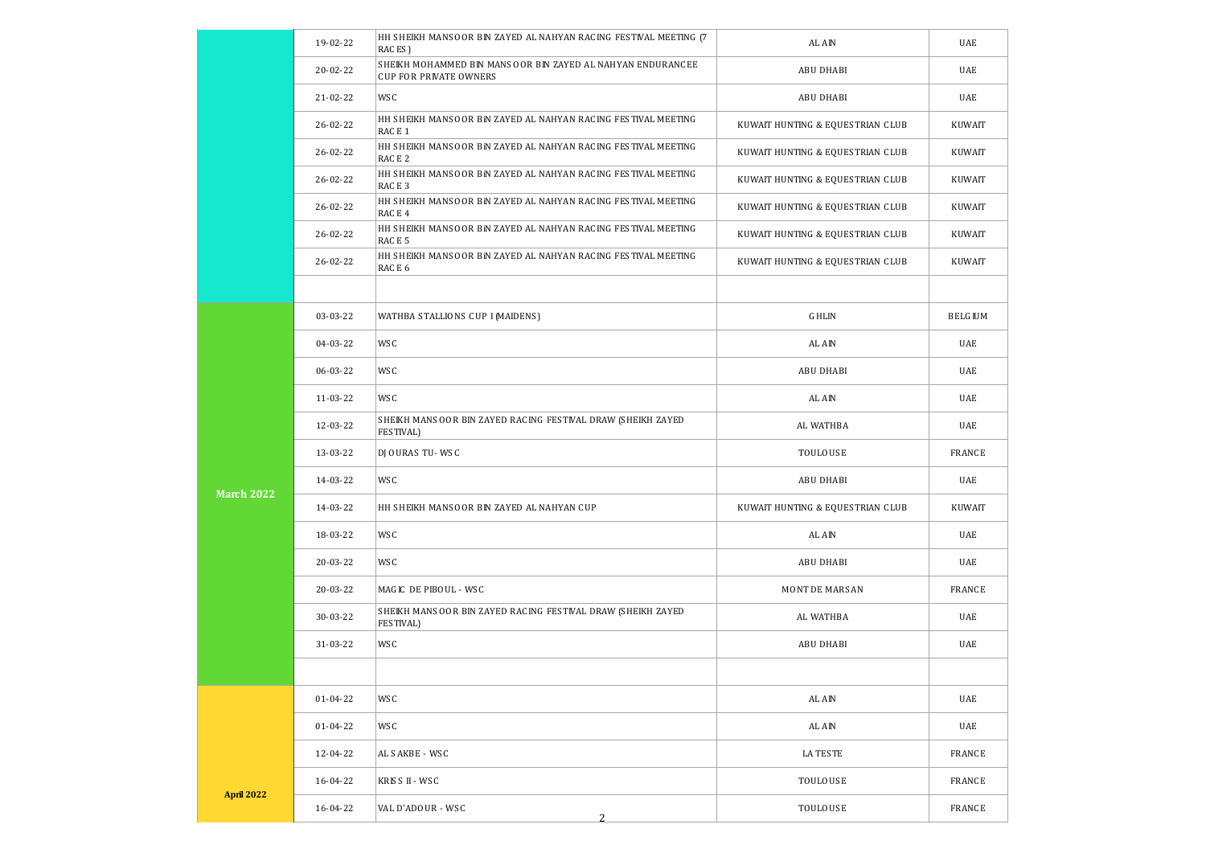|                   | 19-02-22       | HH SHEIKH MANSOOR BIN ZAYED AL NAHYAN RACING FESTIVAL MEETING [7]<br>RACES)                 | AL AIN                           | UAE            |
|-------------------|----------------|---------------------------------------------------------------------------------------------|----------------------------------|----------------|
|                   | $20 - 02 - 22$ | SHEIKH MOHAMMED BIN MANSOOR BIN ZAYED AL NAHYAN ENDURANCEE<br><b>CUP FOR PRIVATE OWNERS</b> | <b>ABU DHABI</b>                 | UAE            |
|                   | 21-02-22       | WS C                                                                                        | <b>ABU DHABI</b>                 | UAE            |
|                   | 26-02-22       | HH SHEIKH MANSOOR BIN ZAYED AL NAHYAN RACING FESTIVAL MEETING<br>RACE 1                     | KUWAIT HUNTING & EQUESTRIAN CLUB | KUWAIT         |
|                   | $26 - 02 - 22$ | HH SHEIKH MANSOOR BIN ZAYED AL NAHYAN RACING FESTIVAL MEETING<br>RACE <sub>2</sub>          | KUWAIT HUNTING & EQUESTRIAN CLUB | KUWAIT         |
|                   | 26-02-22       | HH SHEIKH MANSOOR BIN ZAYED AL NAHYAN RACING FESTIVAL MEETING<br>RACE 3                     | KUWAIT HUNTING & EQUESTRIAN CLUB | KUWAIT         |
|                   | 26-02-22       | HH SHEIKH MANSOOR BIN ZAYED AL NAHYAN RACING FESTIVAL MEETING<br>RACE 4                     | KUWAIT HUNTING & EQUESTRIAN CLUB | KUWAIT         |
|                   | 26-02-22       | HH SHEIKH MANSOOR BIN ZAYED AL NAHYAN RACING FESTIVAL MEETING<br>RACE 5                     | KUWAIT HUNTING & EQUESTRIAN CLUB | KUWAIT         |
|                   | 26-02-22       | HH SHEIKH MANSOOR BIN ZAYED AL NAHYAN RACING FESTIVAL MEETING<br>RACE 6                     | KUWAIT HUNTING & EQUESTRIAN CLUB | KUWAIT         |
|                   |                |                                                                                             |                                  |                |
|                   | 03-03-22       | WATHBA STALLIONS CUP I (MAIDENS)                                                            | <b>GHLIN</b>                     | <b>BELGIUM</b> |
|                   | 04-03-22       | WS C                                                                                        | AL AIN                           | UAE            |
|                   | 06-03-22       | WS C                                                                                        | <b>ABU DHABI</b>                 | UAE            |
|                   | 11-03-22       | WS C                                                                                        | AL AIN                           | UAE            |
|                   | 12-03-22       | SHEIKH MANSOOR BIN ZAYED RACING FESTIVAL DRAW (SHEIKH ZAYED<br>FES TIVAL)                   | AL WATHBA                        | UAE            |
|                   | 13-03-22       | DJ OURAS TU-WSC                                                                             | TOULOUSE                         | <b>FRANCE</b>  |
| <b>March 2022</b> | 14-03-22       | WS C                                                                                        | <b>ABU DHABI</b>                 | UAE            |
|                   | 14-03-22       | HH SHEIKH MANSOOR BIN ZAYED AL NAHYAN CUP                                                   | KUWAIT HUNTING & EQUESTRIAN CLUB | KUWAIT         |
|                   | 18-03-22       | WS C                                                                                        | AL AIN                           | UAE            |
|                   | 20-03-22       | WS C                                                                                        | <b>ABU DHABI</b>                 | UAE            |
|                   | 20-03-22       | MAGIC DE PIBOUL - WSC                                                                       | MONT DE MARSAN                   | <b>FRANCE</b>  |
|                   | 30-03-22       | SHEIKH MANSOOR BIN ZAYED RACING FESTIVAL DRAW (SHEIKH ZAYED<br>FES TIVAL)                   | AL WATHBA                        | UAE            |
|                   | 31-03-22       | WS C                                                                                        | ABU DHABI                        | UAE            |
|                   |                |                                                                                             |                                  |                |
|                   | $01 - 04 - 22$ | WS C                                                                                        | AL AIN                           | UAE            |
|                   | 01-04-22       | WS C                                                                                        | AL AIN                           | UAE            |
|                   | 12-04-22       | AL SAKBE - WSC                                                                              | LA TESTE                         | <b>FRANCE</b>  |
|                   | 16-04-22       | KRISS II - WSC                                                                              | <b>TOULOUSE</b>                  | <b>FRANCE</b>  |
| <b>April 2022</b> | 16-04-22       | VAL D'ADOUR - WSC<br>$\overline{2}$                                                         | <b>TOULOUSE</b>                  | <b>FRANCE</b>  |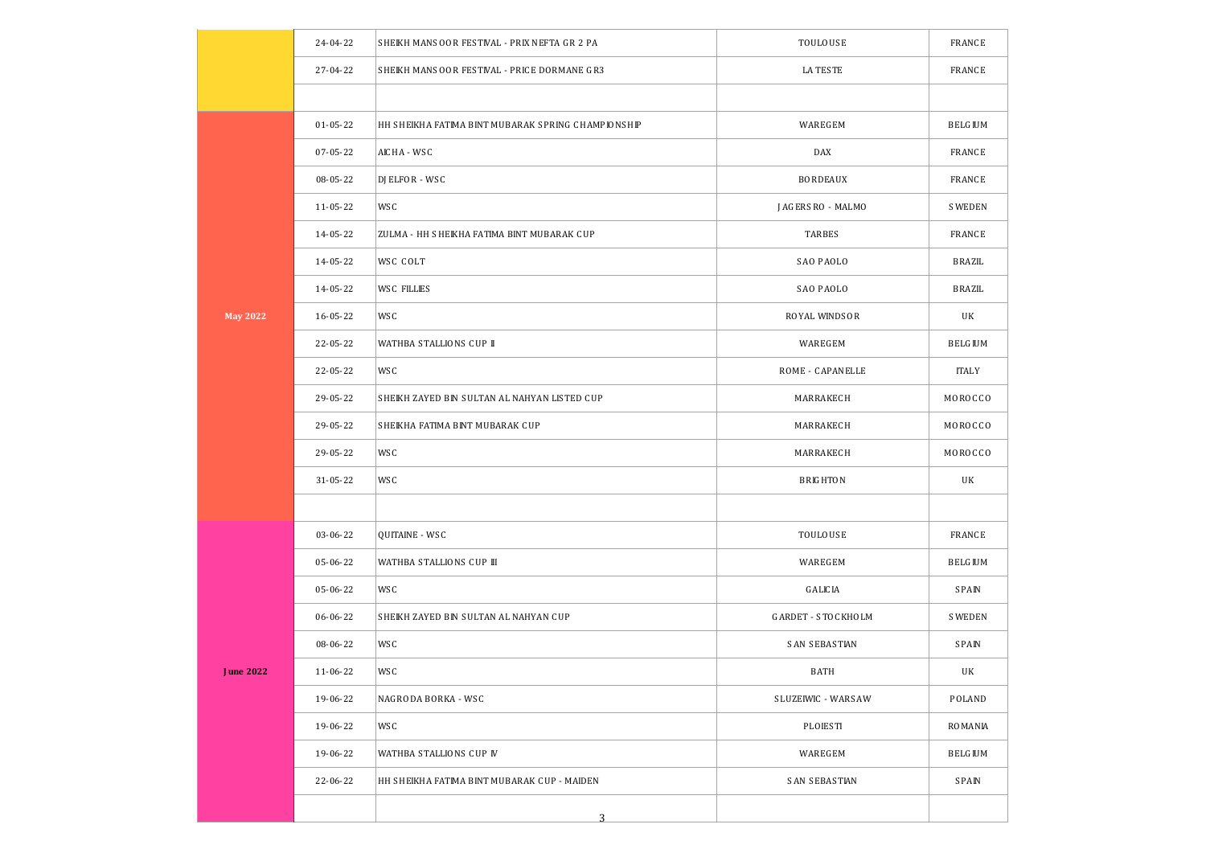|                 | 24-04-22       | SHEIKH MANSOOR FESTIVAL - PRIX NEFTA GR 2 PA       | TOULOUSE             | <b>FRANCE</b>  |
|-----------------|----------------|----------------------------------------------------|----------------------|----------------|
|                 | 27-04-22       | SHEIKH MANSOOR FESTIVAL - PRICE DORMANE GR3        | <b>LA TESTE</b>      | <b>FRANCE</b>  |
|                 |                |                                                    |                      |                |
|                 | 01-05-22       | HH SHEIKHA FATIMA BINT MUBARAK SPRING CHAMPIONSHIP | <b>WAREGEM</b>       | <b>BELGIUM</b> |
|                 | 07-05-22       | AIC HA - WS C                                      | <b>DAX</b>           | <b>FRANCE</b>  |
|                 | 08-05-22       | DJ ELFOR - WS C                                    | <b>BORDEAUX</b>      | <b>FRANCE</b>  |
|                 | 11-05-22       | WS C                                               | J AG ERS RO - MALMO  | <b>SWEDEN</b>  |
|                 | 14-05-22       | ZULMA - HH SHEIKHA FATIMA BINT MUBARAK CUP         | TARBES               | <b>FRANCE</b>  |
|                 | 14-05-22       | WSC COLT                                           | SAO PAOLO            | BRAZIL         |
|                 | 14-05-22       | WS C FILLIES                                       | SAO PAOLO            | BRAZIL         |
| <b>May 2022</b> | $16 - 05 - 22$ | WS C                                               | ROYAL WINDSOR        | UK             |
|                 | 22-05-22       | WATHBA STALLIONS CUP II                            | <b>WAREGEM</b>       | <b>BELGIUM</b> |
|                 | 22-05-22       | WS C                                               | ROME - CAPANELLE     | <b>ITALY</b>   |
|                 | 29-05-22       | SHEIKH ZAYED BIN SULTAN AL NAHYAN LISTED CUP       | MARRAKEC H           | MOROCCO        |
|                 | 29-05-22       | SHEIKHA FATIMA BINT MUBARAK CUP                    | <b>MARRAKECH</b>     | MOROCCO        |
|                 | 29-05-22       | WS C                                               | MARRAKEC H           | MOROCCO        |
|                 | 31-05-22       | WS C                                               | <b>BRIGHTON</b>      | UK             |
|                 |                |                                                    |                      |                |
|                 | 03-06-22       | QUITAINE - WS C                                    | TOULOUSE             | <b>FRANCE</b>  |
|                 | 05-06-22       | WATHBA STALLIONS CUP III                           | <b>WAREGEM</b>       | <b>BELGIUM</b> |
|                 | 05-06-22       | WS C                                               | <b>GALICIA</b>       | <b>SPAIN</b>   |
|                 | 06-06-22       | SHEIKH ZAYED BIN SULTAN AL NAHYAN CUP              | GARDET - STOCKHOLM   | <b>SWEDEN</b>  |
|                 | 08-06-22       | WS C                                               | <b>SAN SEBASTIAN</b> | <b>SPAIN</b>   |
| J une 2022      | 11-06-22       | WS C                                               | BATH                 | UK             |
|                 | 19-06-22       | NAGRODA BORKA - WSC                                | SLUZEIWIC - WARSAW   | POLAND         |
|                 | 19-06-22       | WS C                                               | PLOESTI              | RO MANIA       |
|                 | 19-06-22       | WATHBA STALLIONS CUP IV                            | <b>WAREGEM</b>       | <b>BELGIUM</b> |
|                 | 22-06-22       | HH SHEIKHA FATIMA BINT MUBARAK CUP - MAIDEN        | SAN SEBASTIAN        | <b>SPAIN</b>   |
|                 |                | 3                                                  |                      |                |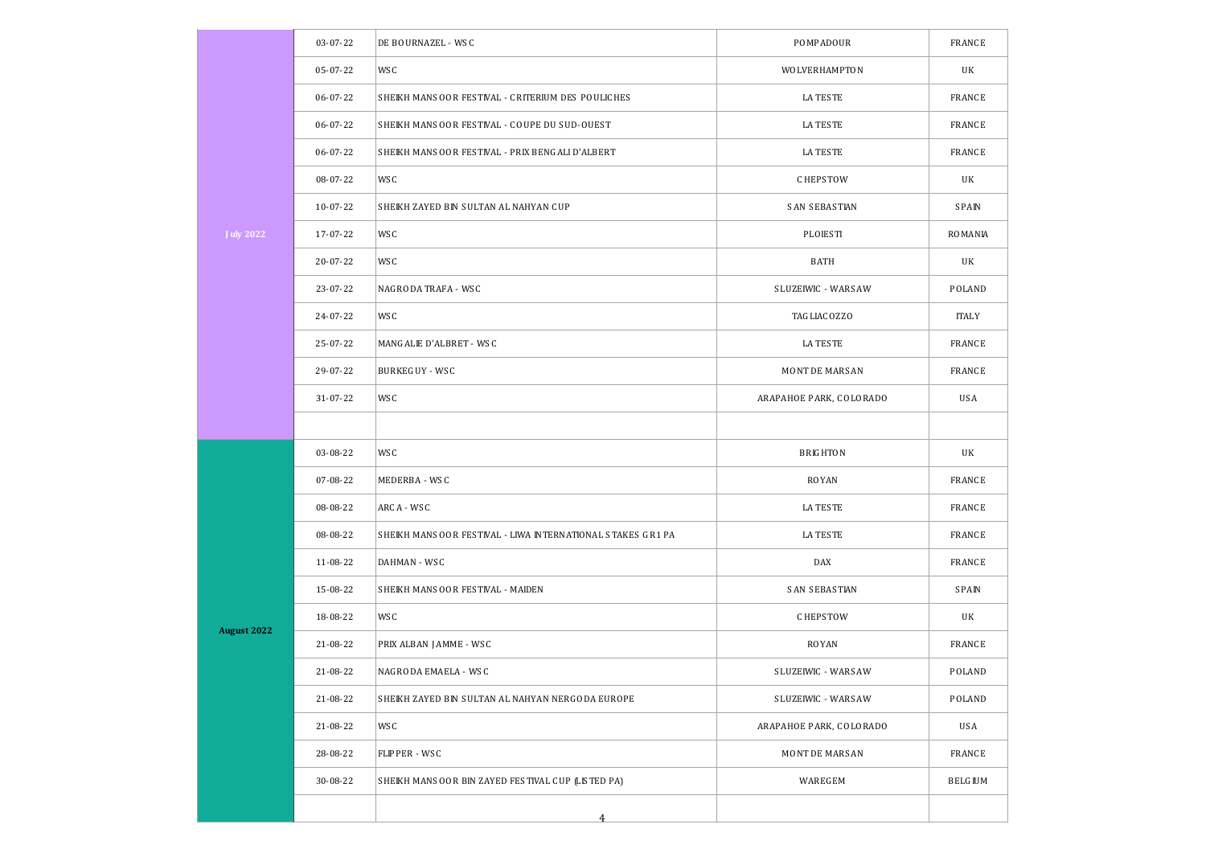|                    | 03-07-22   | DE BOURNAZEL - WSC                                         | POMPADOUR               | <b>FRANCE</b>  |
|--------------------|------------|------------------------------------------------------------|-------------------------|----------------|
|                    | 05-07-22   | WS C                                                       | WOLVERHAMPTON           | UK             |
|                    | 06-07-22   | SHEIKH MANSOOR FESTIVAL - CRITERIUM DES POULICHES          | LA TES TE               | <b>FRANCE</b>  |
|                    | 06-07-22   | SHEIKH MANSOOR FESTIVAL - COUPE DU SUD-OUEST               | LA TES TE               | <b>FRANCE</b>  |
|                    | 06-07-22   | SHEIKH MANSOOR FESTIVAL - PRIX BENGALI D'ALBERT            | LA TES TE               | <b>FRANCE</b>  |
|                    | 08-07-22   | WS C                                                       | <b>CHEPSTOW</b>         | UK             |
|                    | $10-07-22$ | SHEIKH ZAYED BIN SULTAN AL NAHYAN CUP                      | <b>SAN SEBASTIAN</b>    | <b>SPAIN</b>   |
| <b>J</b> uly 2022  | 17-07-22   | WS C                                                       | <b>PLOESTI</b>          | <b>ROMANIA</b> |
|                    | 20-07-22   | WS C                                                       | BATH                    | UK             |
|                    | 23-07-22   | NAGRODA TRAFA - WSC                                        | SLUZEIWIC - WARSAW      | POLAND         |
|                    | 24-07-22   | WS C                                                       | TAG LIAC OZZO           | <b>ITALY</b>   |
|                    | 25-07-22   | MANGALIE D'ALBRET - WSC                                    | LA TES TE               | <b>FRANCE</b>  |
|                    | 29-07-22   | BURKEGUY - WSC                                             | MONT DE MARSAN          | <b>FRANCE</b>  |
|                    | 31-07-22   | WS C                                                       | ARAPAHOE PARK, COLORADO | <b>USA</b>     |
|                    |            |                                                            |                         |                |
|                    | 03-08-22   | WS C                                                       | <b>BRIGHTON</b>         | UK             |
|                    | 07-08-22   | MEDERBA - WSC                                              | ROYAN                   | <b>FRANCE</b>  |
|                    | 08-08-22   | ARCA - WSC                                                 | LA TES TE               | <b>FRANCE</b>  |
|                    | 08-08-22   | SHEIKH MANSOOR FESTIVAL - LIWA INTERNATIONAL STAKES GR1 PA | LA TES TE               | <b>FRANCE</b>  |
|                    | 11-08-22   | DAHMAN - WSC                                               | DAX                     | <b>FRANCE</b>  |
|                    | 15-08-22   | SHEIKH MANSOOR FESTIVAL - MAIDEN                           | <b>SAN SEBASTIAN</b>    | S PAIN         |
|                    | 18-08-22   | WS C                                                       | <b>CHEPSTOW</b>         | UK             |
| <b>August 2022</b> | 21-08-22   | PRIX ALBAN JAMME - WSC                                     | ROYAN                   | <b>FRANCE</b>  |
|                    | 21-08-22   | NAGRODA EMAELA - WS C                                      | SLUZEIWIC - WARSAW      | POLAND         |
|                    | 21-08-22   | SHEIKH ZAYED BIN SULTAN AL NAHYAN NERGODA EUROPE           | SLUZEIWIC - WARSAW      | POLAND         |
|                    | 21-08-22   | WS C                                                       | ARAPAHOE PARK, COLORADO | USA            |
|                    | 28-08-22   | FLIPPER - WSC                                              | MONT DE MARSAN          | <b>FRANCE</b>  |
|                    | 30-08-22   | SHEIKH MANSOOR BIN ZAYED FESTIVAL CUP (LISTED PA)          | <b>WAREGEM</b>          | <b>BELGIUM</b> |
|                    |            | 4                                                          |                         |                |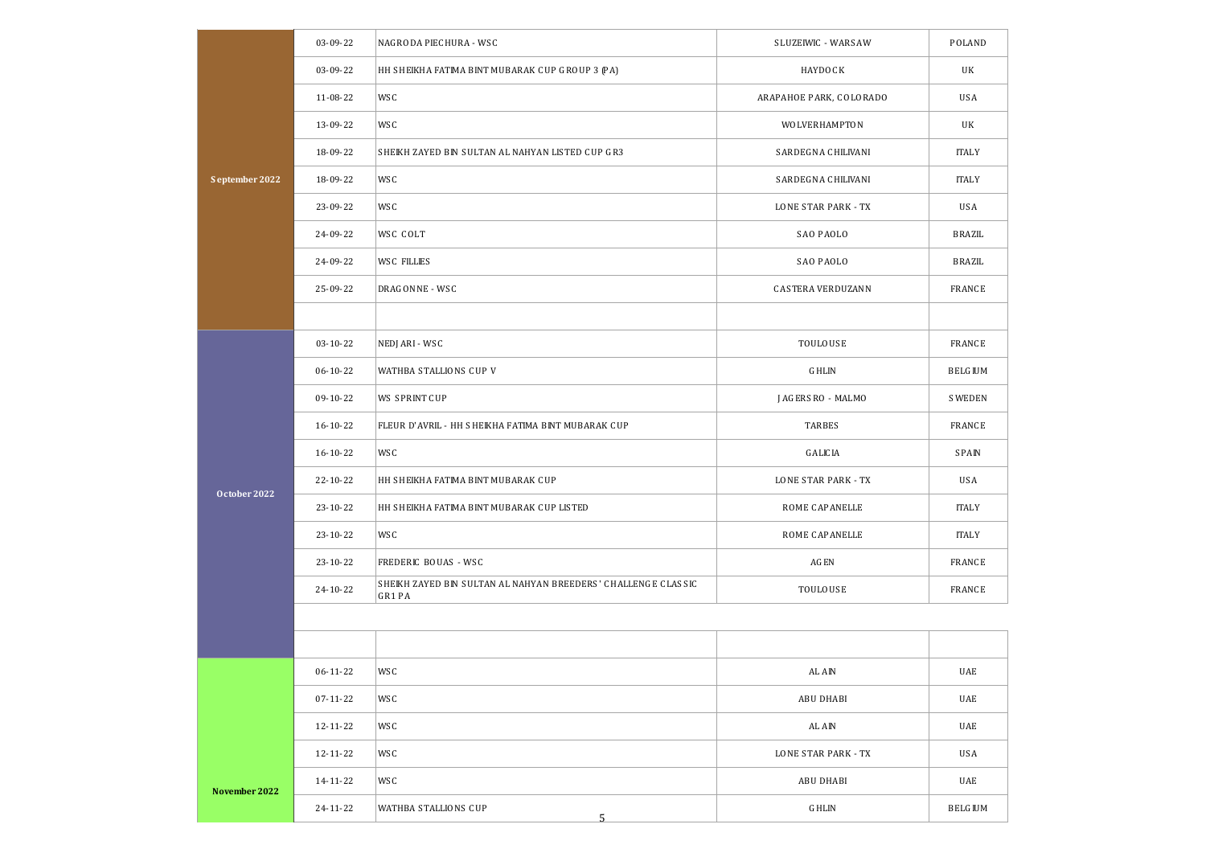|                | 03-09-22       | NAGRODA PIECHURA - WSC                                                  | SLUZEIWIC - WARSAW       | POLAND         |
|----------------|----------------|-------------------------------------------------------------------------|--------------------------|----------------|
|                | 03-09-22       | HH SHEIKHA FATIMA BINT MUBARAK CUP GROUP 3 (PA)                         | <b>HAYDOCK</b>           | UK             |
|                | 11-08-22       | WS C                                                                    | ARAPAHOE PARK, COLORADO  | USA            |
|                | 13-09-22       | WS C                                                                    | WOLVERHAMPTON            | UK             |
|                | 18-09-22       | SHEIKH ZAYED BIN SULTAN AL NAHYAN LISTED CUP GR3                        | SARDEGNA CHILIVANI       | <b>ITALY</b>   |
| September 2022 | 18-09-22       | WS C                                                                    | SARDEGNA CHILIVANI       | <b>ITALY</b>   |
|                | 23-09-22       | WS C                                                                    | LONE STAR PARK - TX      | USA            |
|                | 24-09-22       | WSC COLT                                                                | SAO PAOLO                | BRAZIL         |
|                | 24-09-22       | <b>WSC FILLIES</b>                                                      | SAO PAOLO                | BRAZIL         |
|                | 25-09-22       | DRAGONNE - WSC                                                          | <b>CASTERA VERDUZANN</b> | <b>FRANCE</b>  |
|                |                |                                                                         |                          |                |
|                | $03 - 10 - 22$ | NEDJ ARI - WSC                                                          | <b>TOULOUSE</b>          | <b>FRANCE</b>  |
|                | 06-10-22       | WATHBA STALLIONS CUP V                                                  | <b>GHLIN</b>             | <b>BELGIUM</b> |
|                | 09-10-22       | <b>WS SPRINT CUP</b>                                                    | J AG ERS RO - MALMO      | <b>SWEDEN</b>  |
|                | $16 - 10 - 22$ | FLEUR D'AVRIL - HH SHEIKHA FATIMA BINT MUBARAK CUP                      | TARBES                   | <b>FRANCE</b>  |
|                | 16-10-22       | WS C                                                                    | G ALIC IA                | <b>SPAIN</b>   |
| October 2022   | 22-10-22       | HH SHEIKHA FATIMA BINT MUBARAK CUP                                      | LONE STAR PARK - TX      | USA            |
|                | 23-10-22       | HH SHEIKHA FATIMA BINT MUBARAK CUP LISTED                               | ROME CAPANELLE           | <b>ITALY</b>   |
|                | 23-10-22       | WS C                                                                    | ROME CAPANELLE           | <b>ITALY</b>   |
|                | 23-10-22       | FREDERIC BOUAS - WSC                                                    | <b>AGEN</b>              | <b>FRANCE</b>  |
|                | 24-10-22       | SHEIKH ZAYED BIN SULTAN AL NAHYAN BREEDERS' CHALLENGE CLASSIC<br>GR1 PA | TOULOUSE                 | <b>FRANCE</b>  |
|                |                |                                                                         |                          |                |
|                |                |                                                                         |                          |                |
|                | $06 - 11 - 22$ | WS C                                                                    | AL AIN                   | UAE            |
|                | 07-11-22       | WS C                                                                    | ABU DHABI                | UAE            |
|                | 12-11-22       | WS C                                                                    | AL AIN                   | UAE            |
|                | 12-11-22       | WS C                                                                    | LONE STAR PARK - TX      | USA            |
| November 2022  | 14-11-22       | WS C                                                                    | ABU DHABI                | UAE            |
|                | 24-11-22       | WATHBA STALLIONS CUP<br>5                                               | G HLIN                   | <b>BELGIUM</b> |